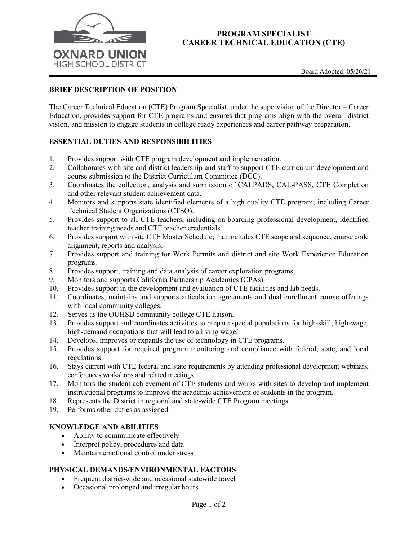

### **PROGRAM SPECIALIST CAREER TECHNICAL EDUCATION (CTE)**

## **BRIEF DESCRIPTION OF POSITION**

The Career Technical Education (CTE) Program Specialist, under the supervision of the Director – Career Education, provides support for CTE programs and ensures that programs align with the overall district vision, and mission to engage students in college ready experiences and career pathway preparation.

# **ESSENTIAL DUTIES AND RESPONSIBILITIES**

- 1. Provides support with CTE program development and implementation.
- 2. Collaborates with site and district leadership and staff to support CTE curriculum development and course submission to the District Curriculum Committee (DCC).
- 3. Coordinates the collection, analysis and submission of CALPADS, CAL-PASS, CTE Completion and other relevant student achievement data.
- 4. Monitors and supports state identified elements of a high quality CTE program; including Career Technical Student Organizations (CTSO).
- 5. Provides support to all CTE teachers, including on-boarding professional development, identified teacher training needs and CTE teacher credentials.
- 6. Provides support with site CTE Master Schedule; that includes CTE scope and sequence, course code alignment, reports and analysis.
- 7. Provides support and training for Work Permits and district and site Work Experience Education programs.
- 8. Provides support, training and data analysis of career exploration programs.
- 9. Monitors and supports California Partnership Academies (CPAs).
- 10. Provides support in the development and evaluation of CTE facilities and lab needs.
- 11. Coordinates, maintains and supports articulation agreements and dual enrollment course offerings with local community colleges.
- 12. Serves as the OUHSD community college CTE liaison.
- 13. Provides support and coordinates activities to prepare special populations for high-skill, high-wage, high-demand occupations that will lead to a living wage/
- 14. Develops, improves or expands the use of technology in CTE programs.
- 15. Provides support for required program monitoring and compliance with federal, state, and local regulations.
- 16. Stays current with CTE federal and state requirements by attending professional development webinars, conferences workshops and related meetings.
- 17. Monitors the student achievement of CTE students and works with sites to develop and implement instructional programs to improve the academic achievement of students in the program.
- 18. Represents the District in regional and state-wide CTE Program meetings.
- 19. Performs other duties as assigned.

#### **KNOWLEDGE AND ABILITIES**

- Ability to communicate effectively
- Interpret policy, procedures and data
- Maintain emotional control under stress

#### **PHYSICAL DEMANDS/ENVIRONMENTAL FACTORS**

- Frequent district-wide and occasional statewide travel
- Occasional prolonged and irregular hours